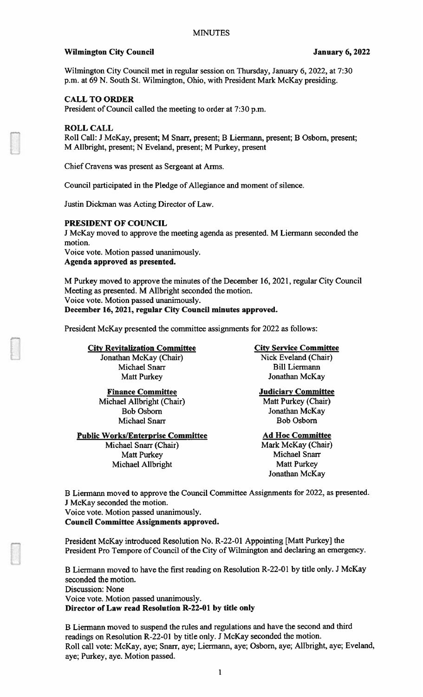# Wilmington City Council **Views** 3 January 6, 2022

Wilmington City Council met in regular session on Thursday, January 6, 2022, at 7:30 p.m. at 69 N. South St. Wilmington, Ohio, with President Mark McKay presiding.

# CALL TO ORDER

President of Council called the meeting to order at 7:30 p.m.

#### ROLL CALL

Roll Call: J McKay, present; M Snarr, present; B Liermann, present; B Osbom, present; M Allbright, present; N Eveland, present; M Purkey, present

Chief Cravens was present as Sergeant at Arms.

Council participated in the Pledge of Allegiance and moment of silence.

Justin Dickman was Acting Director of Law.

# PRESIDENT OF COUNCIL

J McKay moved to approve the meeting agenda as presented. M Liermann seconded the motion.

Voice vote. Motion passed unanimously. Agenda approved as presented.

M Purkey moved to approve the minutes of the December 16, 2021, regular City Council Meeting as presented. M Alibright seconded the motion. Voice vote. Motion passed unanimously. December 16, 2021, regular City Council minutes approved.

President McKay presented the committee assignments for 2022 as follows:

#### **City Revitalization Committee City Service Committee**

Jonathan McKay (Chair) Nick Eveland (Chair) Michael Snarr Bill Liermann

Michael Allbright (Chair) Matt Purkey (Chair) Bob Osbom Jonathan McKay Michael Snarr Bob Osborn

# Public Works/Enterprise Committee Ad Hoc Committee

Matt Purkey Michael Snarr Michael Allbright Matt Purkey

Matt Purkey **Ionathan McKay** 

# Finance Committee **Finance Committee Judiciary Committee**

Michael Snarr (Chair) Mark McKay (Chair) Jonathan McKay

B Liermann moved to approve the Council Committee Assignments for 2022, as presented. J McKay seconded the motion.

Voice vote. Motion passed unanimously. Council Committee Assignments approved.

President McKay introduced Resolution No. R-22-01 Appointing [Matt Purkey] the President Pro Tempore of Council of the City of Wilmington and declaring an emergency.

B Liermann moved to have the first reading on Resolution R-22-01 by title only. J McKay seconded the motion. Discussion: None Voice vote. Motion passed unanimously. Director of Law read Resolution R-22-01 by title only

B Liermann moved to suspend the rules and regulations and have the second and third readings on Resolution R-22-01 by title only. J McKay seconded the motion. Roll call vote: McKay, aye; Snarr, aye; Liermann, aye; Osbom, aye; Allbright, aye; Eveland, aye; Purkey, aye. Motion passed.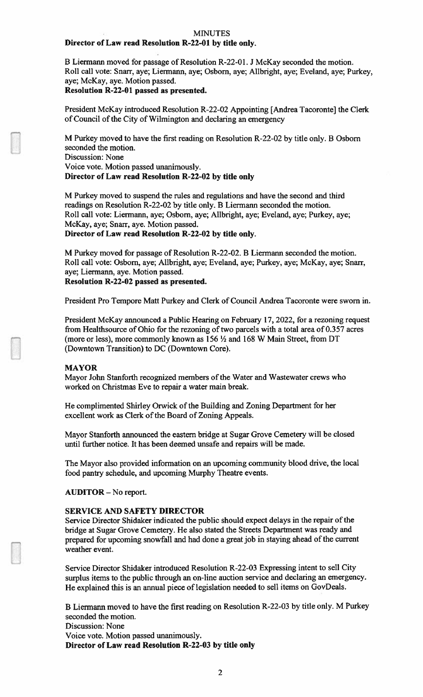# Director of Law read Resolution R-22-O1 by title only.

B Liermann moved for passage of Resolution R-22-O 1. J McKay seconded the motion. Roll call vote: Snarr, aye; Liermann, aye; Osborn, aye; Allbright, aye; Eveland, aye; Purkey, aye; McKay, aye. Motion passed.

Resolution R-22-O1 passed as presented.

President McKay introduced Resolution R-22-02 Appointing [Andrea Tacoronte] the Clerk of Council of the City of Wilmington and declaring an emergency

M Purkey moved to have the first reading on Resolution R-22-02 by title only. B Osbom seconded the motion. Discussion: None Voice vote. Motion passed unanimously.

Director of Law read Resolution R-22-02 by title only

M Purkey moved to suspend the rules and regulations and have the second and third readings on Resolution R-22-02 by title only. B Liermann seconded the motion. Roll call vote: Liermann, aye; Osbom, aye; Allbright, aye; Eveland, aye; Purkey, aye; McKay, aye; Snarr, aye. Motion passed. Director of Law read Resolution R-22-02 by title only.

M Purkey moved for passage of Resolution R-22-02. B Liermann seconded the motion. Roll call vote: Osbom, aye; Allbright, aye; Eveland, aye; Purkey, aye; McKay, aye; Snarr, aye; Liermann, aye. Motion passed. Resolution R-22-02 passed as presented.

President Pro Tempore Matt Purkey and Clerk of Council Andrea Tacoronte were sworn in.

President McKay announced a Public Hearing on February 17, 2022, for a rezoning request from Healthsource of Ohio for the rezoning of two parcels with a total area of 0.357 acres (more or less), more commonly known as  $156 \frac{1}{2}$  and  $168$  W Main Street, from DT (Downtown Transition) to DC (Downtown Core).

# MAYOR

Mayor John Stanforth recognized members of the Water and Wastewater crews who worked on Christmas Eve to repair a water main break.

He complimented Shirley Orwick of the Building and Zoning Department for her excellent work as Clerk of the Board of Zoning Appeals.

Mayor Stanforth announced the eastern bridge at Sugar Grove Cemetery will be closed until farther notice. It has been deemed unsafe and repairs will be made.

The Mayor also provided information on an upcoming community blood drive, the local food pantry schedule, and upcoming Murphy Theatre events.

AUDITOR – No report.

# SERVICE AND SAFETY DIRECTOR

Service Director Shidaker indicated the public should expect delays in the repair of the bridge at Sugar Grove Cemetery. He also stated the Streets Department was ready and prepared for upcoming snowfall and had done a great job in staying ahead of the current weather event.

Service Director Shidaker introduced Resolution R-22-03 Expressing intent to sell City surplus items to the public through an on-line auction service and declaring an emergency. He explained this is an annual piece of legislation needed to sell items on GovDeals.

B Liermann moved to have the first reading on Resolution R-22-03 by title only. M Purkey seconded the motion.

Discussion: None Voice vote. Motion passed unanimously. Director of Law read Resolution R-22-03 by title only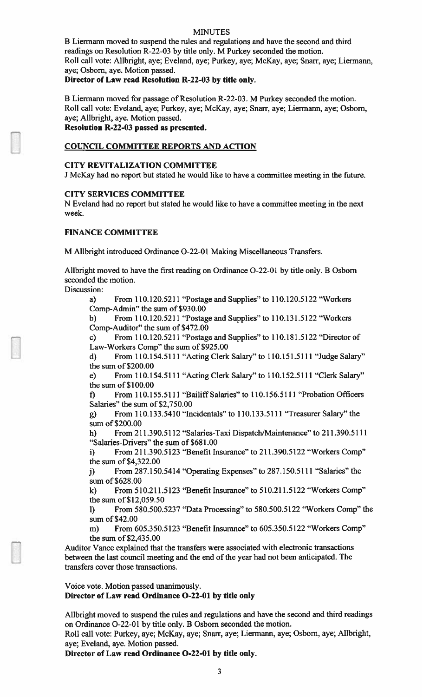B Liermann moved to suspend the rules and regulations and have the second and third readings on Resolution R-22-03 by title only. M Purkey seconded the motion. Roll call vote: Allbright, aye; Eveland, aye; Purkey, aye; McKay, aye; Snarr, aye; Liermann, aye; Osborn, aye. Motion passed.

Director of Law read Resolution R-22-03 by title only.

B Liermann moved for passage of Resolution R-22-03. M Purkey seconded the motion. Roll call vote: Eveland, aye; Purkey, aye; McKay, aye; Snarr, aye; Liermann, aye; Osbom, aye; Allbright, aye. Motion passed.

Resolution R-22-03 passed as presented.

# COUNCIL COMMITTEE REPORTS AND ACTION

#### CITY REVITALIZATION COMMITTEE

J McKay had no report but stated he would like to have a committee meeting in the future.

# CITY SERVICES COMMITTEE

N Eveland had no report but stated he would like to have a committee meeting in the next week.

#### FINANCE COMMITTEE

M Allbright introduced Ordinance O-22-01 Making Miscellaneous Transfers.

Allbright moved to have the first reading on Ordinance O-22-01 by title only. B Osborn seconded the motion.

Discussion:

a) From 110.120.5211 "Postage and Supplies" to 110.120.5122 "Workers Comp-Admin" the sum of \$930.00

b) From 110.120.5211 "Postage and Supplies" to 110.131.5122 "Workers Comp-Auditor" the sum of \$472.00

c) From 110.120.5211 "Postage and Supplies" to 110.181.5122 "Director of Law-Workers Comp" the sum of \$925.00

d) From 110.154.5111 "Acting Clerk Salary" to 110.151.5111 "Judge Salary" the sum of \$200.00

e) From 110.154.5111 "Acting Clerk Salary" to 110.152.5111 "Clerk Salary" the sum of\$100.00

f) From 110.155.5111 "Bailiff Salaries" to 110.156.5111 "Probation Officers Salaries" the sum of \$2,750.00

g) From 110.133.5410 "Incidentals" to 110.133.5111 "Treasurer Salary" the sum of \$200.00

h) From 211.390.5112 "Salaries-Taxi Dispatch/Maintenance" to 211.390.5111 "Salaries-Drivers" the sum of \$681.00

i) From 211.390.5123 "Benefit Insurance" to 211.390.5122 "Workers Comp" the sum of \$4,322.00

j) From 287.150.5414 "Operating Expenses" to 287.150.5111 "Salaries" the sum of \$628.00

k) From 510.211.5123 "Benefit Insurance" to 510.211.5122 "Workers Comp" the sum of \$12,059.50

I) From 580.500.5237 "Data Processing" to 580.500.5122 "Workers Comp" the sum of \$42.00

m) From 605.350.5123 "Benefit Insurance" to 605.350.5122 "Workers Comp" the sum of \$2,435.00

Auditor Vance explained that the transfers were associated with electronic transactions between the last council meeting and the end of the year had not been anticipated. The transfers cover those transactions.

# Voice vote. Motion passed unanimously. Director of Law read Ordinance 0-22-01 by title only

Allbright moved to suspend the rules and regulations and have the second and third readings on Ordinance O-22-01 by title only. B Osborn seconded the motion.

Roll call vote: Purkey, aye; McKay, aye; Snarr, aye; Liermann, aye; Osborn, aye; Allbright, aye; Eveland, aye. Motion passed.

Director of Law read Ordinance 0-22-01 by title only.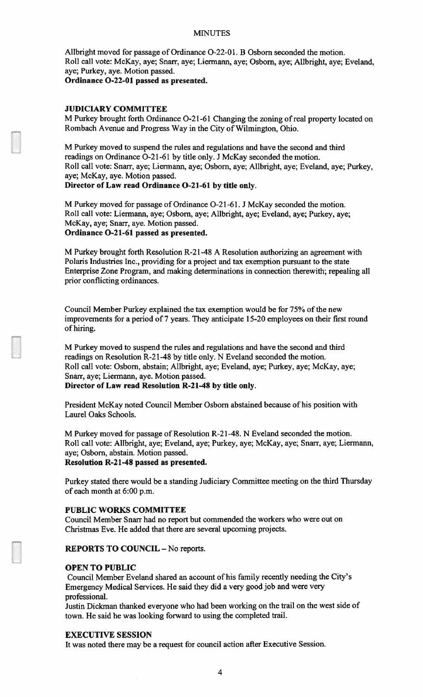Allbright moved for passage of Ordinance 0-22-01. B Osbom seconded the motion. Roll call vote: McKay, aye; Snarr, aye; Liermann, aye; Osbom, aye; Allbright, aye; Eveland, aye; Purkey, aye. Motion passed.

Ordinance 0-22-01 passed as presented.

# JUDICIARY COMMITTEE

M Purkey brought forth Ordinance 0-21-61 Changing the zoning of real property located on Rombach Avenue and Progress Way in the City of Wilmington, Ohio.

M Purkey moved to suspend the rules and regulations and have the second and third readings on Ordinance 0-21-61 by title only. J McKay seconded the motion. Roll call vote: Snarr, aye; Liermann, aye; Osborn, aye; Alibright, aye; Eveland, aye; Purkey, aye; McKay, aye. Motion passed.

# Director of Law read Ordinance 0-21-61 by title only.

M Purkey moved for passage of Ordinance 0-21-61. J McKay seconded the motion. Roll call vote: Liermann, aye; Osbom, aye; Alibright, aye; Eveland, aye; Purkey, aye; McKay, aye; Snarr, aye. Motion passed. Ordinance 0-21-61 passed as presented.

M Purkey brought forth Resolution R-21-48 A Resolution authorizing an agreement with Polaris Industries Inc., providing for a project and tax exemption pursuant to the state Enterprise Zone Program, and making determinations in connection therewith; repealing all prior conflicting ordinances.

Council Member Purkey explained the tax exemption would be for 75% of the new improvements for a period of 7 years. They anticipate 15-20 employees on their first round of hiring.

M Purkey moved to suspend the rules and regulations and have the second and third readings on Resolution R-21-48 by title only. N Eveland seconded the motion. Roll call vote: Osbom, abstain; Allbright, aye; Eveland, aye; Purkey, aye; McKay, aye; Snarr, aye; Liermann, aye. Motion passed.

# Director of Law read Resolution R-21-48 by title only.

President McKay noted Council Member Osbom abstained because of his position with Laurel Oaks Schools.

M Purkey moved for passage of Resolution R-21-48. N Eveland seconded the motion. Roll call vote: Allbright, aye; Eveland, aye; Purkey, aye; McKay, aye; Snarr, aye; Liermann, aye; Osborn, abstain. Motion passed.

Resolution R-21-48 passed as presented.

Purkey stated there would be a standing Judiciary Committee meeting on the third Thursday of each month at 6:00 p.m.

# PUBLIC WORKS COMMITTEE

Council Member Snarr had no report but commended the workers who were out on Christmas Eve. He added that there are several upcoming projects.

# REPORTS TO COUNCIL - No reports.

# OPEN TO PUBLIC

Council Member Eveland shared an account of his family recently needing the City's Emergency Medical Services. He said they did a very good job and were very professional.

Justin Dickman thanked everyone who had been working on the trail on the west side of town. He said he was looking forward to using the completed trail.

# EXECUTIVE SESSION

It was noted there may be a request for council action afler Executive Session.